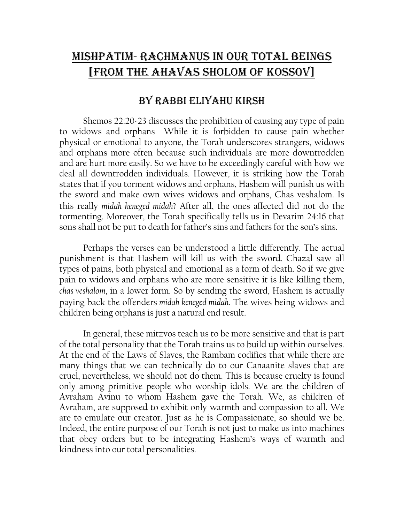## MISHPATIM- RACHMANUS IN OUR TOTAL BEINGS [FROM THE AHAVAS SHOLOM OF KOSSOV]

## BY RABBI ELIYAHU KIRSH

Shemos 22:20-23 discusses the prohibition of causing any type of pain to widows and orphans While it is forbidden to cause pain whether physical or emotional to anyone, the Torah underscores strangers, widows and orphans more often because such individuals are more downtrodden and are hurt more easily. So we have to be exceedingly careful with how we deal all downtrodden individuals. However, it is striking how the Torah states that if you torment widows and orphans, Hashem will punish us with the sword and make own wives widows and orphans, Chas veshalom. Is this really *midah keneged midah*? After all, the ones affected did not do the tormenting. Moreover, the Torah specifically tells us in Devarim 24:16 that sons shall not be put to death for father's sins and fathers for the son's sins.

 Perhaps the verses can be understood a little differently. The actual punishment is that Hashem will kill us with the sword. Chazal saw all types of pains, both physical and emotional as a form of death. So if we give pain to widows and orphans who are more sensitive it is like killing them, *chas veshalom*, in a lower form. So by sending the sword, Hashem is actually paying back the offenders *midah keneged midah*. The wives being widows and children being orphans is just a natural end result.

 In general, these mitzvos teach us to be more sensitive and that is part of the total personality that the Torah trains us to build up within ourselves. At the end of the Laws of Slaves, the Rambam codifies that while there are many things that we can technically do to our Canaanite slaves that are cruel, nevertheless, we should not do them. This is because cruelty is found only among primitive people who worship idols. We are the children of Avraham Avinu to whom Hashem gave the Torah. We, as children of Avraham, are supposed to exhibit only warmth and compassion to all. We are to emulate our creator. Just as he is Compassionate, so should we be. Indeed, the entire purpose of our Torah is not just to make us into machines that obey orders but to be integrating Hashem's ways of warmth and kindness into our total personalities.